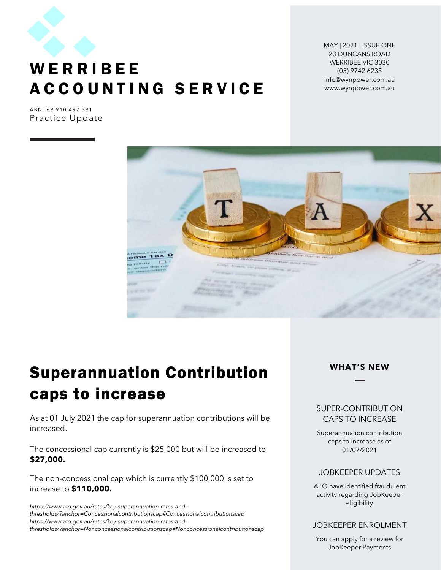

## **WERRIBEE** A C C O U N T I N G S E R V I C E

MAY | 2021 | ISSUE ONE 23 DUNCANS ROAD WERRIBEE VIC 3030 (03) 9742 6235 info@wynpower.com.au www.wynpower.com.au

ABN: 69 910 497 391 Practice Update



## Superannuation Contribution caps to increase

As at 01 July 2021 the cap for superannuation contributions will be increased.

The concessional cap currently is \$25,000 but will be increased to \$27,000.

The non-concessional cap which is currently \$100,000 is set to increase to \$110,000.

https://www.ato.gov.au/rates/key-superannuation-rates-andthresholds/?anchor=Concessionalcontributionscap#Concessionalcontributionscap https://www.ato.gov.au/rates/key-superannuation-rates-andthresholds/?anchor=Nonconcessionalcontributionscap#Nonconcessionalcontributionscap



#### SUPER-CONTRIBUTION CAPS TO INCREASE

Superannuation contribution caps to increase as of 01/07/2021

#### JOBKEEPER UPDATES

ATO have identified fraudulent activity regarding JobKeeper eligibility

#### JOBKEEPER ENROLMENT

You can apply for a review for JobKeeper Payments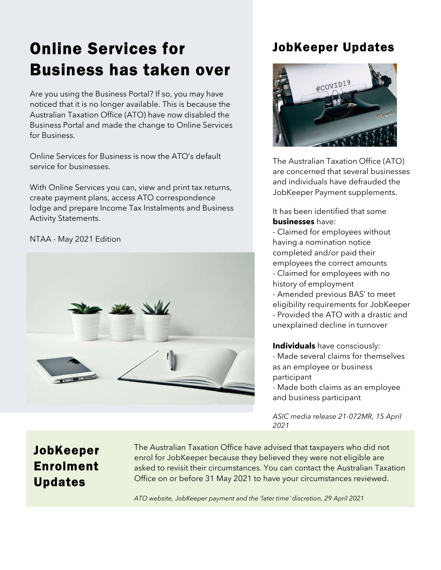# Online Services for Business has taken over

Are you using the Business Portal? If so, you may have noticed that it is no longer available. This is because the Australian Taxation Office (ATO) have now disabled the Business Portal and made the change to Online Services for Business.

Online Services for Business is now the ATO's default service for businesses.

With Online Services you can, view and print tax returns, create payment plans, access ATO correspondence lodge and prepare Income Tax Instalments and Business Activity Statements.

#### NTAA - May 2021 Edition



### JobKeeper Updates



The Australian Taxation Office (ATO) are concerned that several businesses and individuals have defrauded the JobKeeper Payment supplements.

It has been identified that some **businesses** have:

- Claimed for employees without having a nomination notice completed and/or paid their employees the correct amounts - Claimed for employees with no history of employment - Amended previous BAS' to meet eligibility requirements for JobKeeper

- Provided the ATO with a drastic and unexplained decline in turnover

Individuals have consciously: - Made several claims for themselves as an employee or business participant

- Made both claims as an employee and business participant

ASIC media release 21-072MR, 15 April 2021

### JobKeeper Enrolment Updates

The Australian Taxation Office have advised that taxpayers who did not enrol for JobKeeper because they believed they were not eligible are asked to revisit their circumstances. You can contact the Australian Taxation Office on or before 31 May 2021 to have your circumstances reviewed.

ATO website, JobKeeper payment and the 'later time' discretion, 29 April 2021